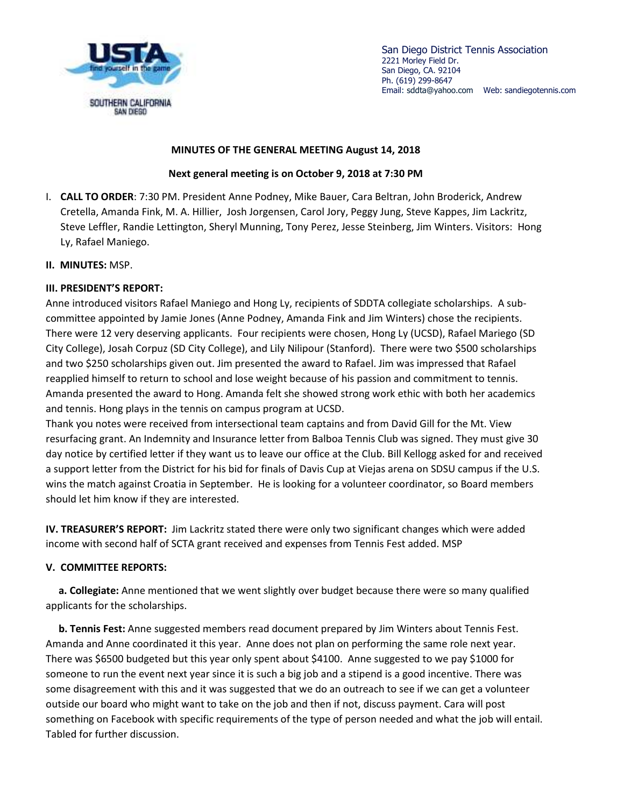

San Diego District Tennis Association 2221 Morley Field Dr. San Diego, CA. 92104 Ph. (619) 299-8647 Email: sddta@yahoo.com Web: sandiegotennis.com

## **MINUTES OF THE GENERAL MEETING August 14, 2018**

## **Next general meeting is on October 9, 2018 at 7:30 PM**

- I. **CALL TO ORDER**: 7:30 PM. President Anne Podney, Mike Bauer, Cara Beltran, John Broderick, Andrew Cretella, Amanda Fink, M. A. Hillier, Josh Jorgensen, Carol Jory, Peggy Jung, Steve Kappes, Jim Lackritz, Steve Leffler, Randie Lettington, Sheryl Munning, Tony Perez, Jesse Steinberg, Jim Winters. Visitors: Hong Ly, Rafael Maniego.
- **II. MINUTES:** MSP.

## **III. PRESIDENT'S REPORT:**

Anne introduced visitors Rafael Maniego and Hong Ly, recipients of SDDTA collegiate scholarships. A subcommittee appointed by Jamie Jones (Anne Podney, Amanda Fink and Jim Winters) chose the recipients. There were 12 very deserving applicants. Four recipients were chosen, Hong Ly (UCSD), Rafael Mariego (SD City College), Josah Corpuz (SD City College), and Lily Nilipour (Stanford). There were two \$500 scholarships and two \$250 scholarships given out. Jim presented the award to Rafael. Jim was impressed that Rafael reapplied himself to return to school and lose weight because of his passion and commitment to tennis. Amanda presented the award to Hong. Amanda felt she showed strong work ethic with both her academics and tennis. Hong plays in the tennis on campus program at UCSD.

Thank you notes were received from intersectional team captains and from David Gill for the Mt. View resurfacing grant. An Indemnity and Insurance letter from Balboa Tennis Club was signed. They must give 30 day notice by certified letter if they want us to leave our office at the Club. Bill Kellogg asked for and received a support letter from the District for his bid for finals of Davis Cup at Viejas arena on SDSU campus if the U.S. wins the match against Croatia in September. He is looking for a volunteer coordinator, so Board members should let him know if they are interested.

**IV. TREASURER'S REPORT:** Jim Lackritz stated there were only two significant changes which were added income with second half of SCTA grant received and expenses from Tennis Fest added. MSP

## **V. COMMITTEE REPORTS:**

 **a. Collegiate:** Anne mentioned that we went slightly over budget because there were so many qualified applicants for the scholarships.

 **b. Tennis Fest:** Anne suggested members read document prepared by Jim Winters about Tennis Fest. Amanda and Anne coordinated it this year. Anne does not plan on performing the same role next year. There was \$6500 budgeted but this year only spent about \$4100. Anne suggested to we pay \$1000 for someone to run the event next year since it is such a big job and a stipend is a good incentive. There was some disagreement with this and it was suggested that we do an outreach to see if we can get a volunteer outside our board who might want to take on the job and then if not, discuss payment. Cara will post something on Facebook with specific requirements of the type of person needed and what the job will entail. Tabled for further discussion.